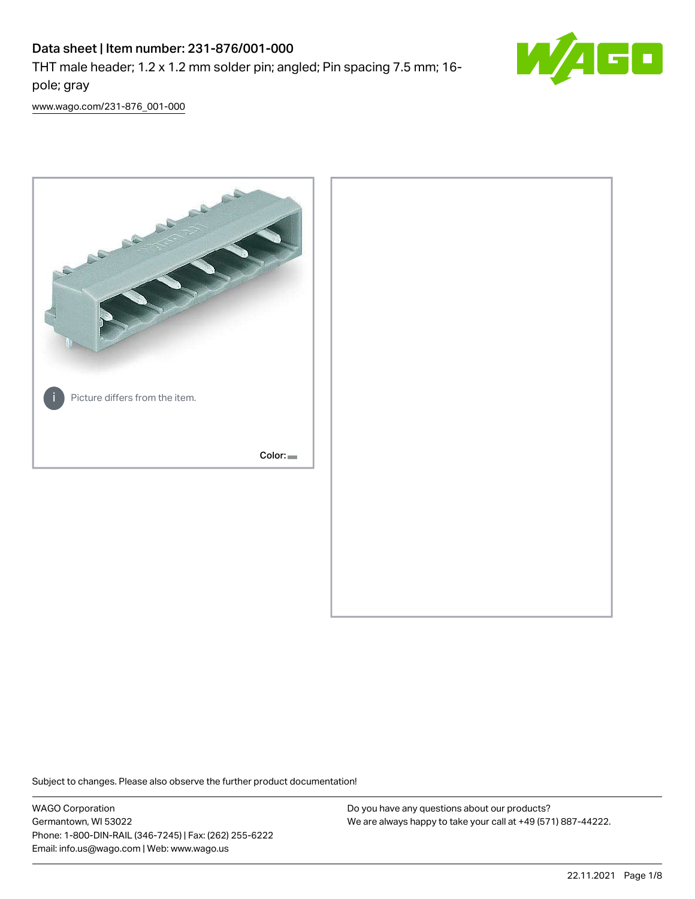# Data sheet | Item number: 231-876/001-000

THT male header; 1.2 x 1.2 mm solder pin; angled; Pin spacing 7.5 mm; 16 pole; gray



[www.wago.com/231-876\\_001-000](http://www.wago.com/231-876_001-000)



Subject to changes. Please also observe the further product documentation!

WAGO Corporation Germantown, WI 53022 Phone: 1-800-DIN-RAIL (346-7245) | Fax: (262) 255-6222 Email: info.us@wago.com | Web: www.wago.us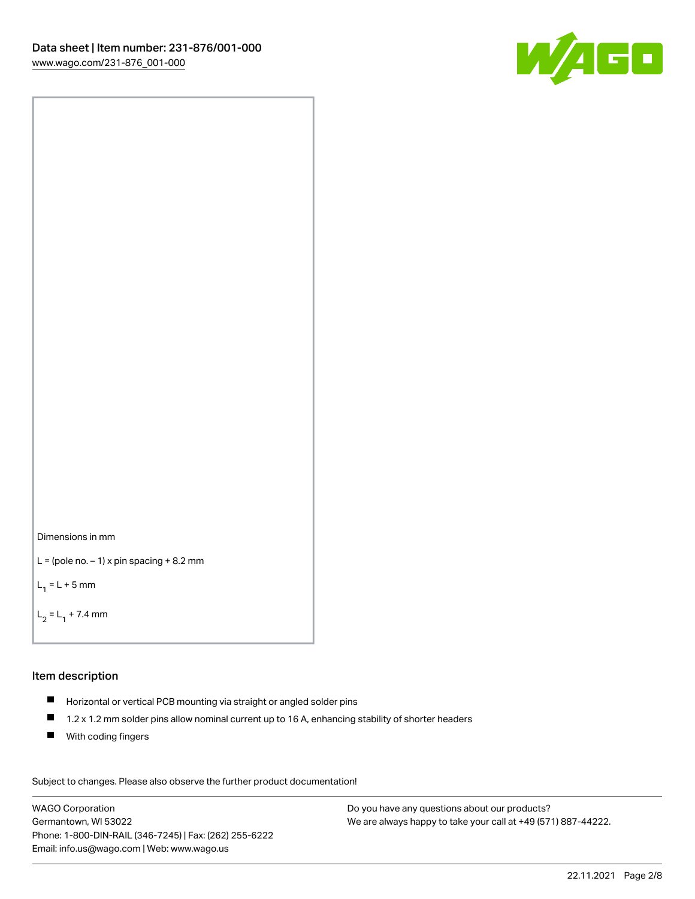

```
Dimensions in mm
```

```
L = (pole no. -1) x pin spacing +8.2 mm
```
 $L_1 = L + 5$  mm

```
L_2 = L_1 + 7.4 mm
```
#### Item description

- Horizontal or vertical PCB mounting via straight or angled solder pins
- $\blacksquare$ 1.2 x 1.2 mm solder pins allow nominal current up to 16 A, enhancing stability of shorter headers
- **With coding fingers**

Subject to changes. Please also observe the further product documentation! Data

WAGO Corporation Germantown, WI 53022 Phone: 1-800-DIN-RAIL (346-7245) | Fax: (262) 255-6222 Email: info.us@wago.com | Web: www.wago.us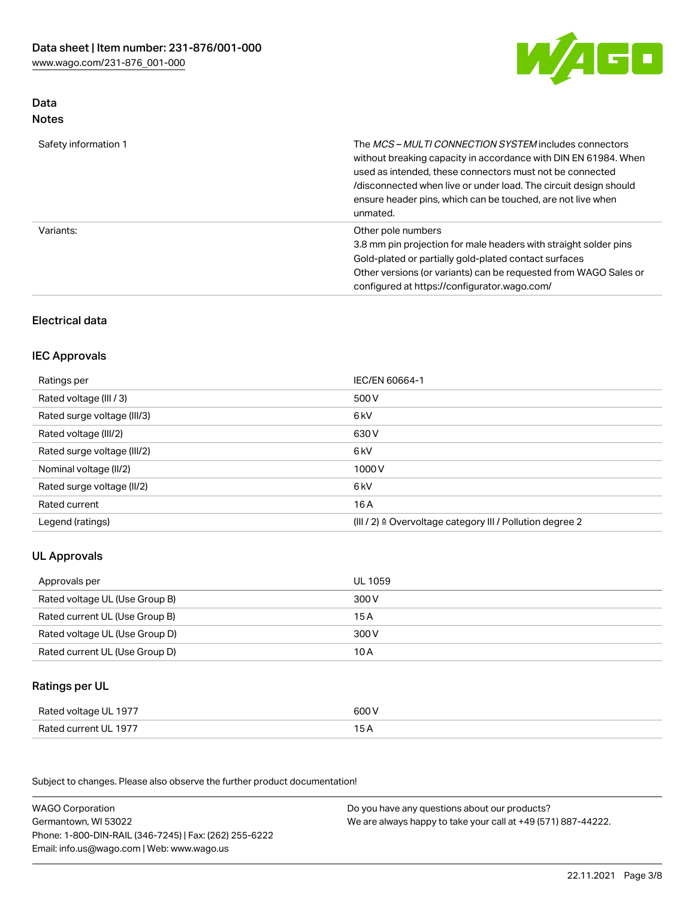

### Data Notes

| Safety information 1 | The <i>MCS – MULTI CONNECTION SYSTEM</i> includes connectors<br>without breaking capacity in accordance with DIN EN 61984. When<br>used as intended, these connectors must not be connected<br>/disconnected when live or under load. The circuit design should<br>ensure header pins, which can be touched, are not live when<br>unmated. |
|----------------------|--------------------------------------------------------------------------------------------------------------------------------------------------------------------------------------------------------------------------------------------------------------------------------------------------------------------------------------------|
| Variants:            | Other pole numbers<br>3.8 mm pin projection for male headers with straight solder pins<br>Gold-plated or partially gold-plated contact surfaces<br>Other versions (or variants) can be requested from WAGO Sales or<br>configured at https://configurator.wago.com/                                                                        |

## Electrical data

## IEC Approvals

| Ratings per                 | IEC/EN 60664-1                                                        |
|-----------------------------|-----------------------------------------------------------------------|
| Rated voltage (III / 3)     | 500 V                                                                 |
| Rated surge voltage (III/3) | 6 <sub>kV</sub>                                                       |
| Rated voltage (III/2)       | 630 V                                                                 |
| Rated surge voltage (III/2) | 6 <sub>kV</sub>                                                       |
| Nominal voltage (II/2)      | 1000V                                                                 |
| Rated surge voltage (II/2)  | 6 <sub>kV</sub>                                                       |
| Rated current               | 16A                                                                   |
| Legend (ratings)            | $(III / 2)$ $\triangle$ Overvoltage category III / Pollution degree 2 |

## UL Approvals

| Approvals per                  | UL 1059 |
|--------------------------------|---------|
| Rated voltage UL (Use Group B) | 300 V   |
| Rated current UL (Use Group B) | 15 A    |
| Rated voltage UL (Use Group D) | 300 V   |
| Rated current UL (Use Group D) | 10 A    |

### Ratings per UL

| Rated voltage UL 1977 | 600 V |
|-----------------------|-------|
| Rated current UL 1977 |       |

Subject to changes. Please also observe the further product documentation!

| <b>WAGO Corporation</b>                                | Do you have any questions about our products?                 |
|--------------------------------------------------------|---------------------------------------------------------------|
| Germantown, WI 53022                                   | We are always happy to take your call at +49 (571) 887-44222. |
| Phone: 1-800-DIN-RAIL (346-7245)   Fax: (262) 255-6222 |                                                               |
| Email: info.us@wago.com   Web: www.wago.us             |                                                               |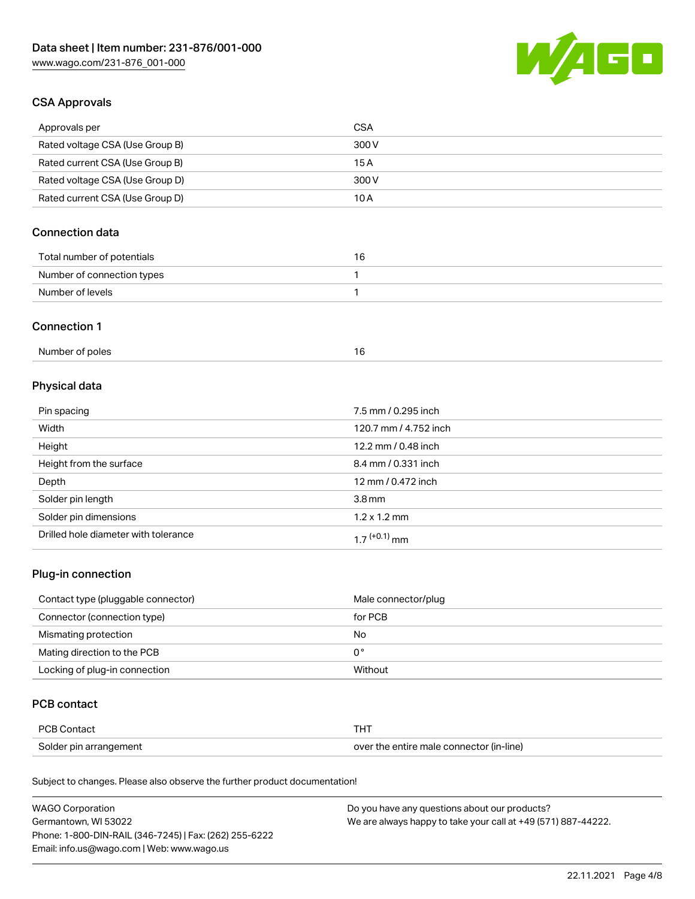

### CSA Approvals

| Approvals per                   | CSA   |
|---------------------------------|-------|
| Rated voltage CSA (Use Group B) | 300 V |
| Rated current CSA (Use Group B) | 15 A  |
| Rated voltage CSA (Use Group D) | 300 V |
| Rated current CSA (Use Group D) | 10 A  |

## Connection data

| Total number of potentials | 16. |
|----------------------------|-----|
| Number of connection types |     |
| Number of levels           |     |

#### Connection 1

| Number of poles |
|-----------------|
|-----------------|

## Physical data

| Pin spacing                          | 7.5 mm / 0.295 inch   |
|--------------------------------------|-----------------------|
| Width                                | 120.7 mm / 4.752 inch |
| Height                               | 12.2 mm / 0.48 inch   |
| Height from the surface              | 8.4 mm / 0.331 inch   |
| Depth                                | 12 mm / 0.472 inch    |
| Solder pin length                    | 3.8 <sub>mm</sub>     |
| Solder pin dimensions                | $1.2 \times 1.2$ mm   |
| Drilled hole diameter with tolerance | $17^{(+0.1)}$ mm      |

## Plug-in connection

| Contact type (pluggable connector) | Male connector/plug |
|------------------------------------|---------------------|
| Connector (connection type)        | for PCB             |
| Mismating protection               | No                  |
| Mating direction to the PCB        | 0°                  |
| Locking of plug-in connection      | Without             |

### PCB contact

| PCB Contact            |                                          |
|------------------------|------------------------------------------|
| Solder pin arrangement | over the entire male connector (in-line) |

Subject to changes. Please also observe the further product documentation!

| <b>WAGO Corporation</b>                                | Do you have any questions about our products?                 |
|--------------------------------------------------------|---------------------------------------------------------------|
| Germantown, WI 53022                                   | We are always happy to take your call at +49 (571) 887-44222. |
| Phone: 1-800-DIN-RAIL (346-7245)   Fax: (262) 255-6222 |                                                               |
| Email: info.us@wago.com   Web: www.wago.us             |                                                               |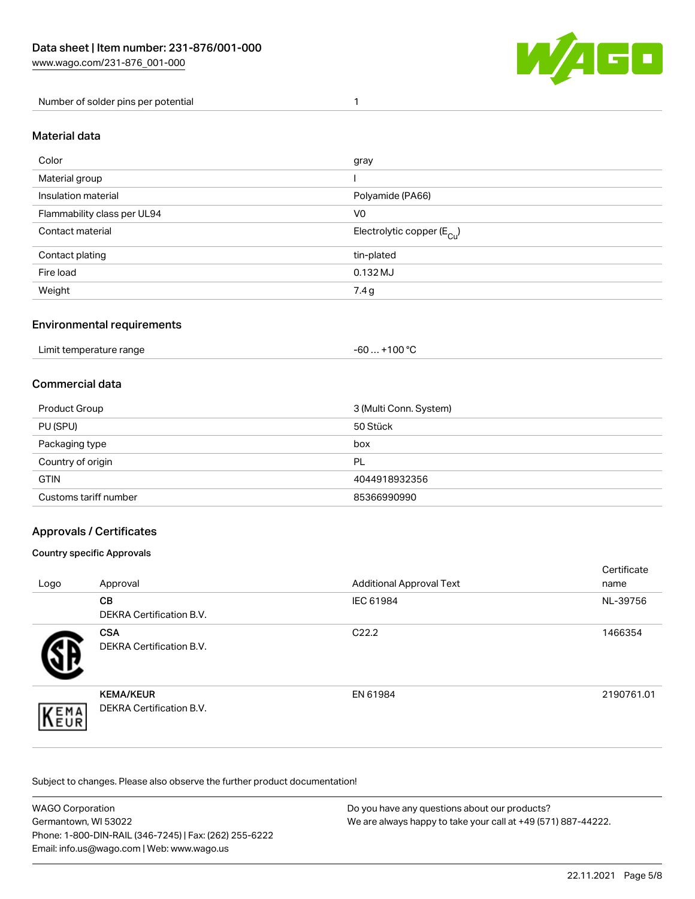

Number of solder pins per potential 1

#### Material data

| Color                       | gray                                   |
|-----------------------------|----------------------------------------|
| Material group              |                                        |
| Insulation material         | Polyamide (PA66)                       |
| Flammability class per UL94 | V <sub>0</sub>                         |
| Contact material            | Electrolytic copper (E <sub>Cu</sub> ) |
| Contact plating             | tin-plated                             |
| Fire load                   | $0.132$ MJ                             |
| Weight                      | 7.4g                                   |

#### Environmental requirements

Limit temperature range  $-60... +100$  °C

#### Commercial data

| Product Group         | 3 (Multi Conn. System) |
|-----------------------|------------------------|
| PU (SPU)              | 50 Stück               |
| Packaging type        | box                    |
| Country of origin     | PL                     |
| <b>GTIN</b>           | 4044918932356          |
| Customs tariff number | 85366990990            |

### Approvals / Certificates

#### Country specific Approvals

| Logo                | Approval                                            | <b>Additional Approval Text</b> | Certificate<br>name |
|---------------------|-----------------------------------------------------|---------------------------------|---------------------|
|                     | <b>CB</b><br><b>DEKRA Certification B.V.</b>        | IEC 61984                       | NL-39756            |
|                     | <b>CSA</b><br>DEKRA Certification B.V.              | C <sub>22.2</sub>               | 1466354             |
| EMA<br><b>INEUR</b> | <b>KEMA/KEUR</b><br><b>DEKRA Certification B.V.</b> | EN 61984                        | 2190761.01          |

Subject to changes. Please also observe the further product documentation!

| <b>WAGO Corporation</b>                                | Do you have any questions about our products?                 |
|--------------------------------------------------------|---------------------------------------------------------------|
| Germantown, WI 53022                                   | We are always happy to take your call at +49 (571) 887-44222. |
| Phone: 1-800-DIN-RAIL (346-7245)   Fax: (262) 255-6222 |                                                               |
| Email: info.us@wago.com   Web: www.wago.us             |                                                               |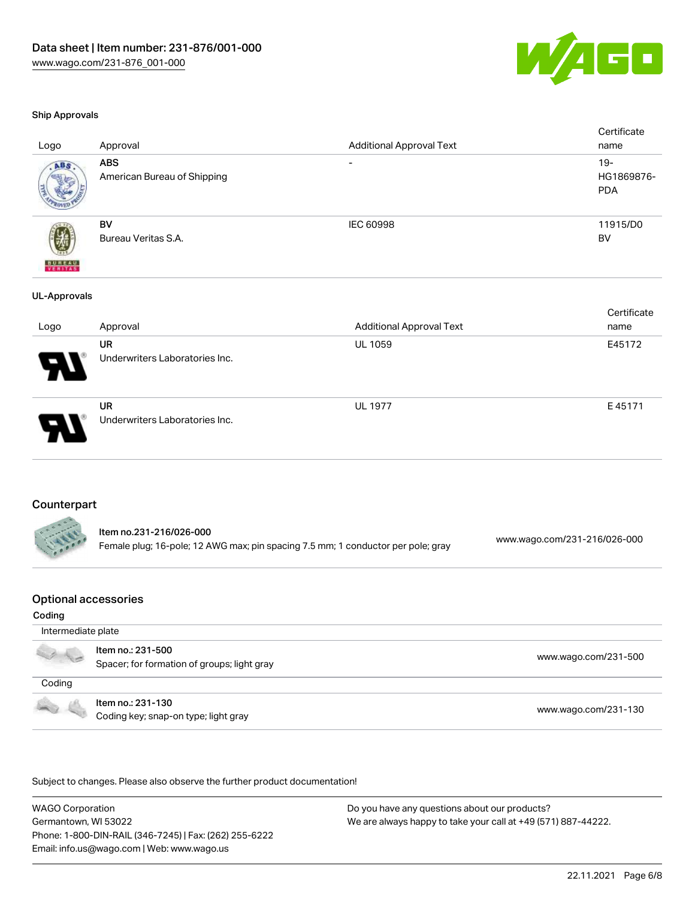

#### Ship Approvals

| Logo                     | Approval                                    | <b>Additional Approval Text</b> | Certificate<br>name                |
|--------------------------|---------------------------------------------|---------------------------------|------------------------------------|
| ABS                      | <b>ABS</b><br>American Bureau of Shipping   |                                 | $19 -$<br>HG1869876-<br><b>PDA</b> |
| <b>BUREAU</b><br>VERITAS | BV<br>Bureau Veritas S.A.                   | IEC 60998                       | 11915/D0<br><b>BV</b>              |
| <b>UL-Approvals</b>      |                                             |                                 |                                    |
| Logo                     | Approval                                    | <b>Additional Approval Text</b> | Certificate<br>name                |
|                          | <b>UR</b><br>Underwriters Laboratories Inc. | UL 1059                         | E45172                             |
|                          | <b>UR</b><br>Underwriters Laboratories Inc. | UL 1977                         | E45171                             |

#### Counterpart

| ltem no.231-216/026-000                                                          | www.wago.com/231-216/026-000 |
|----------------------------------------------------------------------------------|------------------------------|
| Female plug; 16-pole; 12 AWG max; pin spacing 7.5 mm; 1 conductor per pole; gray |                              |

### Optional accessories

#### Coding

| Intermediate plate                                                                                                                                                                                                                   |                                                                  |                      |  |
|--------------------------------------------------------------------------------------------------------------------------------------------------------------------------------------------------------------------------------------|------------------------------------------------------------------|----------------------|--|
|                                                                                                                                                                                                                                      | Item no.: 231-500<br>Spacer; for formation of groups; light gray | www.wago.com/231-500 |  |
| Coding                                                                                                                                                                                                                               |                                                                  |                      |  |
| <b>Contract Contract Contract Contract Contract Contract Contract Contract Contract Contract Contract Contract Contract Contract Contract Contract Contract Contract Contract Contract Contract Contract Contract Contract Contr</b> | Item no.: 231-130<br>Coding key; snap-on type; light gray        | www.wago.com/231-130 |  |

.<br>Subject to changes. Please also observe the further product documentation!

WAGO Corporation Germantown, WI 53022 Phone: 1-800-DIN-RAIL (346-7245) | Fax: (262) 255-6222 Email: info.us@wago.com | Web: www.wago.us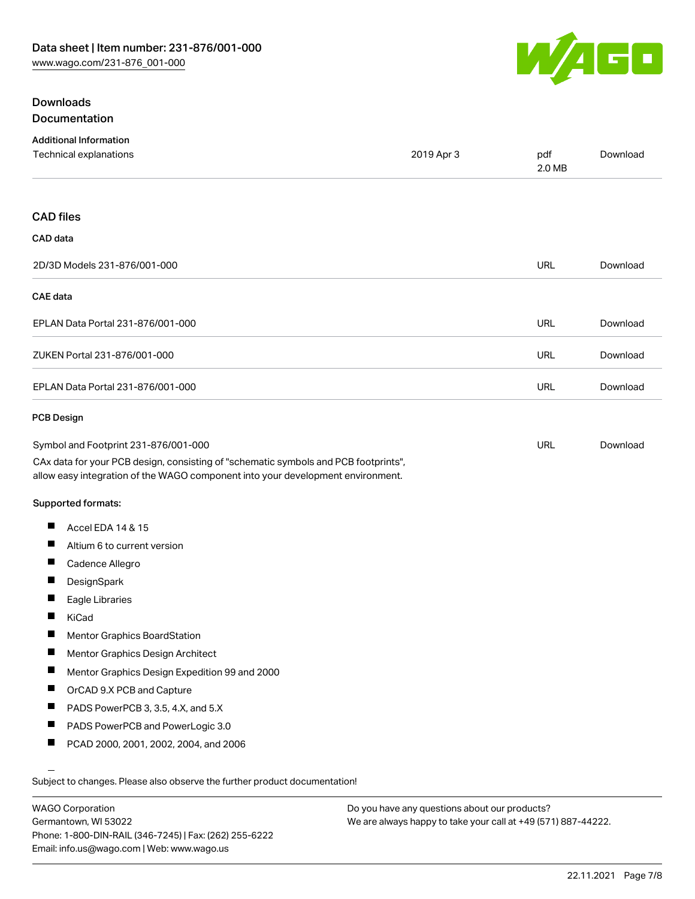

## **Downloads** Documentation

| <b>Additional Information</b><br>Technical explanations                                                                                                                | 2019 Apr 3 | pdf<br>2.0 MB | Download |
|------------------------------------------------------------------------------------------------------------------------------------------------------------------------|------------|---------------|----------|
|                                                                                                                                                                        |            |               |          |
| <b>CAD files</b>                                                                                                                                                       |            |               |          |
| CAD data                                                                                                                                                               |            |               |          |
| 2D/3D Models 231-876/001-000                                                                                                                                           |            | <b>URL</b>    | Download |
| <b>CAE</b> data                                                                                                                                                        |            |               |          |
| EPLAN Data Portal 231-876/001-000                                                                                                                                      |            | URL           | Download |
| ZUKEN Portal 231-876/001-000                                                                                                                                           |            | <b>URL</b>    | Download |
| EPLAN Data Portal 231-876/001-000                                                                                                                                      |            | URL           | Download |
| <b>PCB Design</b>                                                                                                                                                      |            |               |          |
| Symbol and Footprint 231-876/001-000                                                                                                                                   |            | <b>URL</b>    | Download |
| CAx data for your PCB design, consisting of "schematic symbols and PCB footprints",<br>allow easy integration of the WAGO component into your development environment. |            |               |          |
| Supported formats:                                                                                                                                                     |            |               |          |
| ш<br>Accel EDA 14 & 15                                                                                                                                                 |            |               |          |
| ш<br>Altium 6 to current version                                                                                                                                       |            |               |          |
| П<br>Cadence Allegro                                                                                                                                                   |            |               |          |
| ш<br>DesignSpark                                                                                                                                                       |            |               |          |
| Eagle Libraries                                                                                                                                                        |            |               |          |
| KiCad                                                                                                                                                                  |            |               |          |
| Ш<br>Mentor Graphics BoardStation                                                                                                                                      |            |               |          |
| П<br>Mentor Graphics Design Architect                                                                                                                                  |            |               |          |
| ш<br>Mentor Graphics Design Expedition 99 and 2000                                                                                                                     |            |               |          |
| ш<br>OrCAD 9.X PCB and Capture                                                                                                                                         |            |               |          |
| PADS PowerPCB 3, 3.5, 4.X, and 5.X                                                                                                                                     |            |               |          |
| ш<br>PADS PowerPCB and PowerLogic 3.0                                                                                                                                  |            |               |          |
| ш<br>PCAD 2000, 2001, 2002, 2004, and 2006                                                                                                                             |            |               |          |
| Subject to changes. Please also observe the further product documentation!                                                                                             |            |               |          |

WAGO Corporation Germantown, WI 53022 Phone: 1-800-DIN-RAIL (346-7245) | Fax: (262) 255-6222 Email: info.us@wago.com | Web: www.wago.us